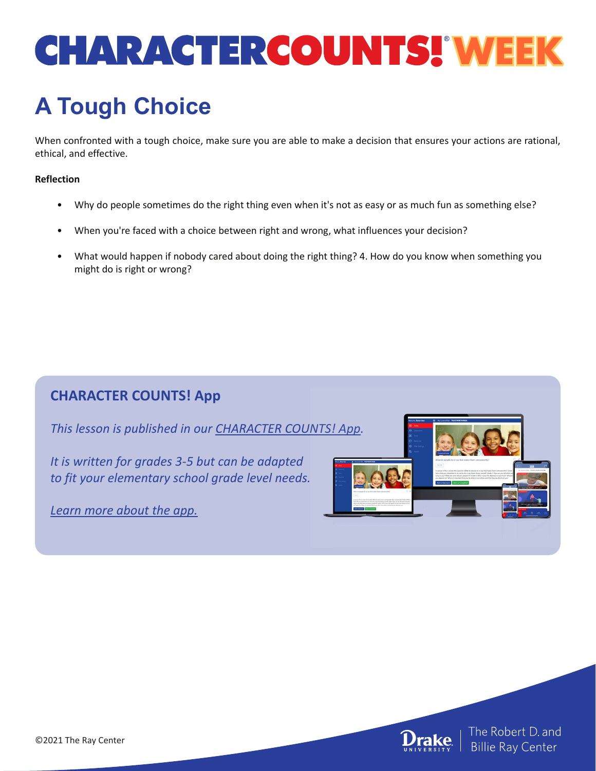# **CHARACTERCOUNTS! WEEK**

## **A Tough Choice**

When confronted with a tough choice, make sure you are able to make a decision that ensures your actions are rational, ethical, and effective.

#### **Reflection**

- Why do people sometimes do the right thing even when it's not as easy or as much fun as something else?
- When you're faced with a choice between right and wrong, what influences your decision?
- What would happen if nobody cared about doing the right thing? 4. How do you know when something you might do is right or wrong?

### **CHARACTER COUNTS! App**

*This lesson is published in our [CHARACTER COUNTS! App.](https://www.characterdaily.com)* 

*It is written for grades 3-5 but can be adapted to fit your elementary school grade level needs.*

*[Learn more about the app.](https://www.characterdaily.com)*





| The Robert D. and<br>| Billie Ray Center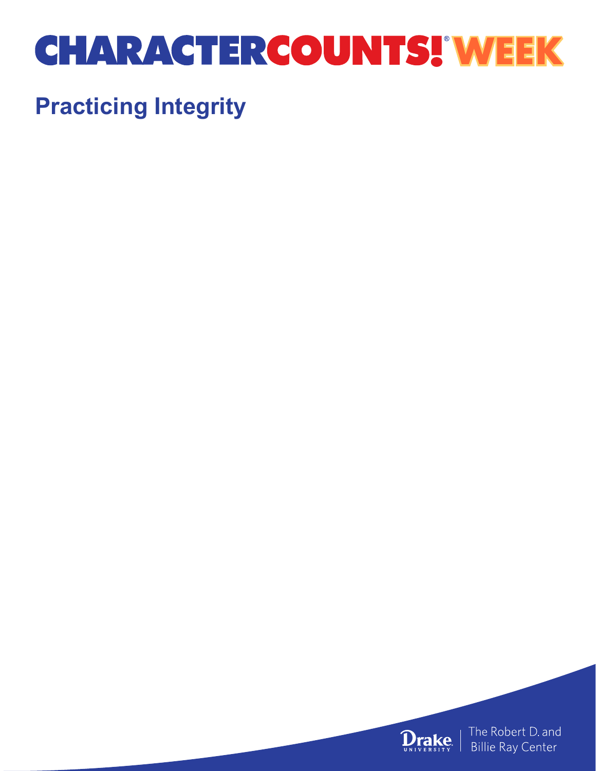## **CHARACTERCOUNTS! WEEK**

### **Practicing Integrity**

**Drake** 

The Robert D. and **Billie Ray Center**